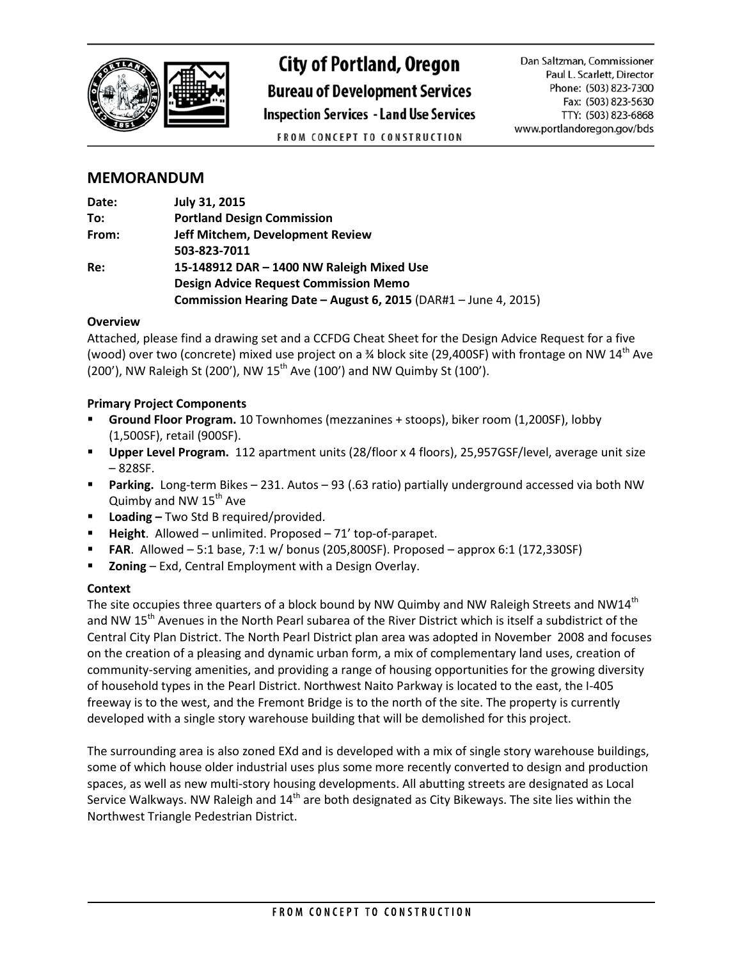

# **City of Portland, Oregon**

**Bureau of Development Services** 

**Inspection Services - Land Use Services** 

Dan Saltzman, Commissioner Paul L. Scarlett, Director Phone: (503) 823-7300 Fax: (503) 823-5630 TTY: (503) 823-6868 www.portlandoregon.gov/bds

FROM CONCEPT TO CONSTRUCTION

# **MEMORANDUM**

| Date: | July 31, 2015                                                   |  |
|-------|-----------------------------------------------------------------|--|
| To:   | <b>Portland Design Commission</b>                               |  |
| From: | Jeff Mitchem, Development Review                                |  |
|       | 503-823-7011                                                    |  |
| Re:   | 15-148912 DAR - 1400 NW Raleigh Mixed Use                       |  |
|       | <b>Design Advice Request Commission Memo</b>                    |  |
|       | Commission Hearing Date - August 6, 2015 (DAR#1 - June 4, 2015) |  |

## **Overview**

Attached, please find a drawing set and a CCFDG Cheat Sheet for the Design Advice Request for a five (wood) over two (concrete) mixed use project on a  $\frac{3}{4}$  block site (29,400SF) with frontage on NW 14<sup>th</sup> Ave (200'), NW Raleigh St (200'), NW  $15^{th}$  Ave (100') and NW Quimby St (100').

# **Primary Project Components**

- **Ground Floor Program.** 10 Townhomes (mezzanines + stoops), biker room (1,200SF), lobby (1,500SF), retail (900SF).
- **Upper Level Program.** 112 apartment units (28/floor x 4 floors), 25,957GSF/level, average unit size – 828SF.
- **Parking.** Long-term Bikes 231. Autos 93 (.63 ratio) partially underground accessed via both NW Quimby and NW  $15<sup>th</sup>$  Ave
- **Loading –** Two Std B required/provided.
- **Height**. Allowed unlimited. Proposed 71' top-of-parapet.
- **FAR**. Allowed 5:1 base, 7:1 w/ bonus (205,800SF). Proposed approx 6:1 (172,330SF)
- **Zoning**  Exd, Central Employment with a Design Overlay.

## **Context**

The site occupies three quarters of a block bound by NW Quimby and NW Raleigh Streets and NW14 $^{\text{th}}$ and NW 15<sup>th</sup> Avenues in the North Pearl subarea of the River District which is itself a subdistrict of the Central City Plan District. The North Pearl District plan area was adopted in November 2008 and focuses on the creation of a pleasing and dynamic urban form, a mix of complementary land uses, creation of community-serving amenities, and providing a range of housing opportunities for the growing diversity of household types in the Pearl District. Northwest Naito Parkway is located to the east, the I-405 freeway is to the west, and the Fremont Bridge is to the north of the site. The property is currently developed with a single story warehouse building that will be demolished for this project.

The surrounding area is also zoned EXd and is developed with a mix of single story warehouse buildings, some of which house older industrial uses plus some more recently converted to design and production spaces, as well as new multi-story housing developments. All abutting streets are designated as Local Service Walkways. NW Raleigh and  $14<sup>th</sup>$  are both designated as City Bikeways. The site lies within the Northwest Triangle Pedestrian District.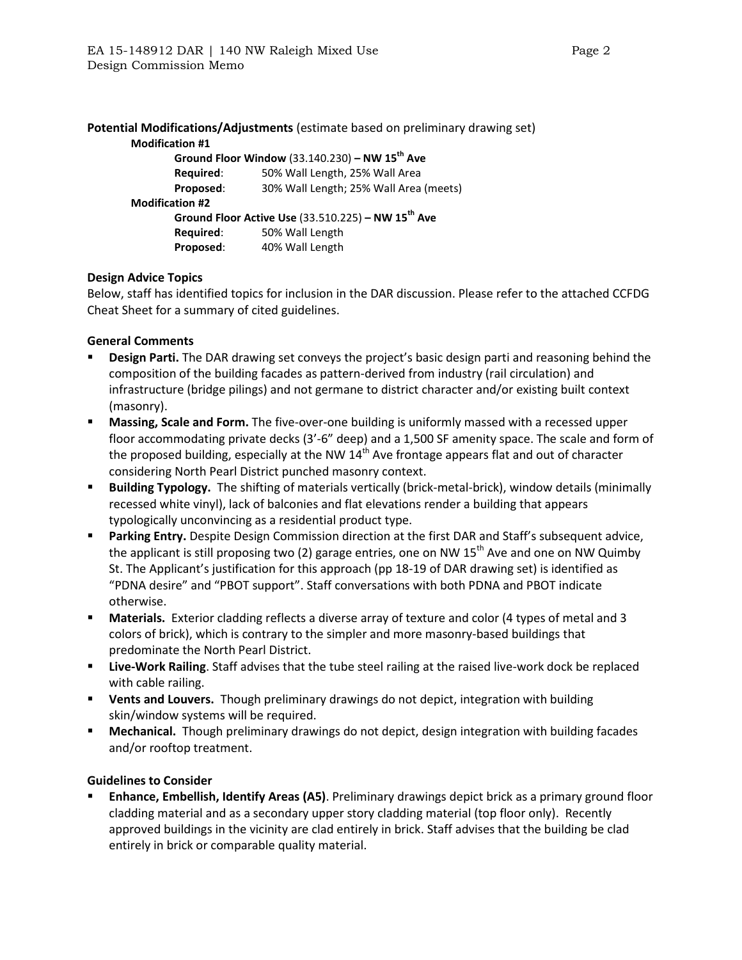|                        | Potential Modifications/Adjustments (estimate based on preliminary drawing set) |
|------------------------|---------------------------------------------------------------------------------|
| <b>Modification #1</b> |                                                                                 |
|                        | Ground Floor Window (33.140.230) – NW $15^{th}$ Ave                             |
| Required:              | 50% Wall Length, 25% Wall Area                                                  |
| Proposed:              | 30% Wall Length; 25% Wall Area (meets)                                          |
| <b>Modification #2</b> |                                                                                 |
|                        | Ground Floor Active Use $(33.510.225)$ – NW 15 <sup>th</sup> Ave                |
| Required:              | 50% Wall Length                                                                 |
| Proposed:              | 40% Wall Length                                                                 |
|                        |                                                                                 |

#### **Design Advice Topics**

Below, staff has identified topics for inclusion in the DAR discussion. Please refer to the attached CCFDG Cheat Sheet for a summary of cited guidelines.

#### **General Comments**

- **Design Parti.** The DAR drawing set conveys the project's basic design parti and reasoning behind the composition of the building facades as pattern-derived from industry (rail circulation) and infrastructure (bridge pilings) and not germane to district character and/or existing built context (masonry).
- **Massing, Scale and Form.** The five-over-one building is uniformly massed with a recessed upper floor accommodating private decks (3'-6" deep) and a 1,500 SF amenity space. The scale and form of the proposed building, especially at the NW  $14<sup>th</sup>$  Ave frontage appears flat and out of character considering North Pearl District punched masonry context.
- **Building Typology.** The shifting of materials vertically (brick-metal-brick), window details (minimally recessed white vinyl), lack of balconies and flat elevations render a building that appears typologically unconvincing as a residential product type.
- **Parking Entry.** Despite Design Commission direction at the first DAR and Staff's subsequent advice, the applicant is still proposing two (2) garage entries, one on NW 15<sup>th</sup> Ave and one on NW Quimby St. The Applicant's justification for this approach (pp 18-19 of DAR drawing set) is identified as "PDNA desire" and "PBOT support". Staff conversations with both PDNA and PBOT indicate otherwise.
- **Materials.** Exterior cladding reflects a diverse array of texture and color (4 types of metal and 3 colors of brick), which is contrary to the simpler and more masonry-based buildings that predominate the North Pearl District.
- **Live-Work Railing**. Staff advises that the tube steel railing at the raised live-work dock be replaced with cable railing.
- **Vents and Louvers.** Though preliminary drawings do not depict, integration with building skin/window systems will be required.
- **Mechanical.** Though preliminary drawings do not depict, design integration with building facades and/or rooftop treatment.

#### **Guidelines to Consider**

 **Enhance, Embellish, Identify Areas (A5)**. Preliminary drawings depict brick as a primary ground floor cladding material and as a secondary upper story cladding material (top floor only). Recently approved buildings in the vicinity are clad entirely in brick. Staff advises that the building be clad entirely in brick or comparable quality material.